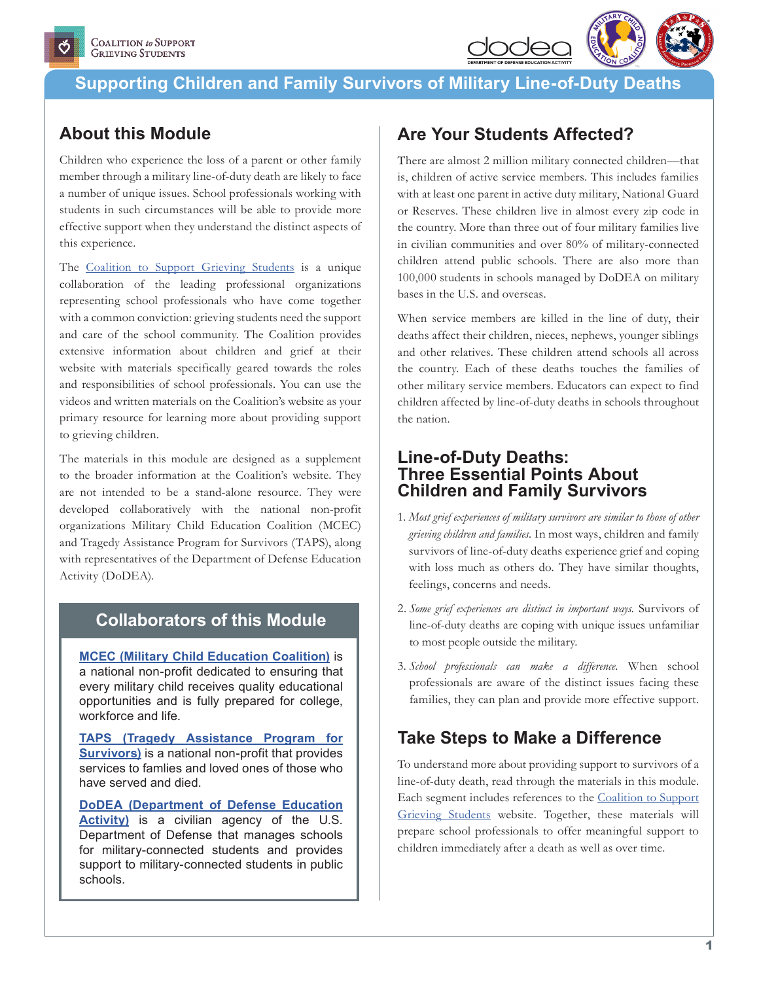

## **About this Module**

Children who experience the loss of a parent or other family member through a military line-of-duty death are likely to face a number of unique issues. School professionals working with students in such circumstances will be able to provide more effective support when they understand the distinct aspects of this experience.

The [Coalition to Support Grieving Students](http://www.grievingstudents.org) is a unique collaboration of the leading professional organizations representing school professionals who have come together with a common conviction: grieving students need the support and care of the school community. The Coalition provides extensive information about children and grief at their website with materials specifically geared towards the roles and responsibilities of school professionals. You can use the videos and written materials on the Coalition's website as your primary resource for learning more about providing support to grieving children.

The materials in this module are designed as a supplement to the broader information at the Coalition's website. They are not intended to be a stand-alone resource. They were developed collaboratively with the national non-profit organizations Military Child Education Coalition (MCEC) and Tragedy Assistance Program for Survivors (TAPS), along with representatives of the Department of Defense Education Activity (DoDEA).

### **Collaborators of this Module**

**[MCEC \(Military Child Education Coalition\)](http://www.militarychild.org)** is a national non-profit dedicated to ensuring that every military child receives quality educational opportunities and is fully prepared for college, workforce and life.

**[TAPS \(Tragedy Assistance Program for](http://www.taps.org)  [Survivors](http://www.taps.org)[\)](http://))** is a national non-profit that provides services to famlies and loved ones of those who have served and died.

**[DoDEA \(Department of Defense Education](http://www.dodea.edu)  [Activity\)](http://www.dodea.edu)** is a civilian agency of the U.S. Department of Defense that manages schools for military-connected students and provides support to military-connected students in public schools.

## **Are Your Students Affected?**

There are almost 2 million military connected children—that is, children of active service members. This includes families with at least one parent in active duty military, National Guard or Reserves. These children live in almost every zip code in the country. More than three out of four military families live in civilian communities and over 80% of military-connected children attend public schools. There are also more than 100,000 students in schools managed by DoDEA on military bases in the U.S. and overseas.

When service members are killed in the line of duty, their deaths affect their children, nieces, nephews, younger siblings and other relatives. These children attend schools all across the country. Each of these deaths touches the families of other military service members. Educators can expect to find children affected by line-of-duty deaths in schools throughout the nation.

### **Line-of-Duty Deaths: Three Essential Points About Children and Family Survivors**

- 1. *Most grief experiences of military survivors are similar to those of other grieving children and families.* In most ways, children and family survivors of line-of-duty deaths experience grief and coping with loss much as others do. They have similar thoughts, feelings, concerns and needs.
- 2. *Some grief experiences are distinct in important ways.* Survivors of line-of-duty deaths are coping with unique issues unfamiliar to most people outside the military.
- 3. *School professionals can make a difference.* When school professionals are aware of the distinct issues facing these families, they can plan and provide more effective support.

## **Take Steps to Make a Difference**

To understand more about providing support to survivors of a line-of-duty death, read through the materials in this module. Each segment includes references to the [Coalition to Support](http://www.grievingstudents.org) [Grieving Students](http://www.grievingstudents.org) website. Together, these materials will prepare school professionals to offer meaningful support to children immediately after a death as well as over time.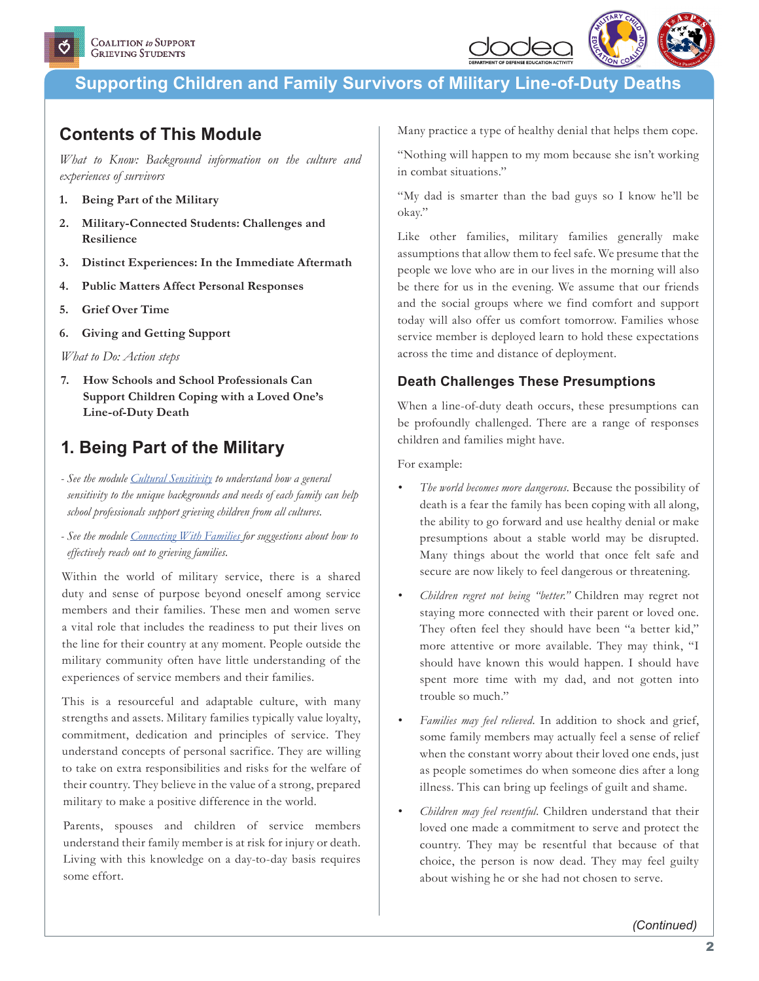

## **Contents of This Module**

*What to Know: Background information on the culture and experiences of survivors*

- **1. Being Part of the Military**
- **2. Military-Connected Students: Challenges and Resilience**
- **3. Distinct Experiences: In the Immediate Aftermath**
- **4. Public Matters Affect Personal Responses**
- **5. Grief Over Time**
- **6. Giving and Getting Support**

*What to Do: Action steps*

**7. How Schools and School Professionals Can Support Children Coping with a Loved One's Line-of-Duty Death**

## **1. Being Part of the Military**

- *See the module [Cultural Sensitivity](https://grievingstudents.org/module-section/cultural-sensitivity/) to understand how a general sensitivity to the unique backgrounds and needs of each family can help school professionals support grieving children from all cultures.*
- *See the module [Connecting With Families](https://grievingstudents.org/module-section/connecting-with-families/) for suggestions about how to effectively reach out to grieving families.*

Within the world of military service, there is a shared duty and sense of purpose beyond oneself among service members and their families. These men and women serve a vital role that includes the readiness to put their lives on the line for their country at any moment. People outside the military community often have little understanding of the experiences of service members and their families.

This is a resourceful and adaptable culture, with many strengths and assets. Military families typically value loyalty, commitment, dedication and principles of service. They understand concepts of personal sacrifice. They are willing to take on extra responsibilities and risks for the welfare of their country. They believe in the value of a strong, prepared military to make a positive difference in the world.

Parents, spouses and children of service members understand their family member is at risk for injury or death. Living with this knowledge on a day-to-day basis requires some effort.

Many practice a type of healthy denial that helps them cope.

"Nothing will happen to my mom because she isn't working in combat situations."

"My dad is smarter than the bad guys so I know he'll be okay."

Like other families, military families generally make assumptions that allow them to feel safe. We presume that the people we love who are in our lives in the morning will also be there for us in the evening. We assume that our friends and the social groups where we find comfort and support today will also offer us comfort tomorrow. Families whose service member is deployed learn to hold these expectations across the time and distance of deployment.

### **Death Challenges These Presumptions**

When a line-of-duty death occurs, these presumptions can be profoundly challenged. There are a range of responses children and families might have.

For example:

- *• The world becomes more dangerous.* Because the possibility of death is a fear the family has been coping with all along, the ability to go forward and use healthy denial or make presumptions about a stable world may be disrupted. Many things about the world that once felt safe and secure are now likely to feel dangerous or threatening.
- *• Children regret not being "better."* Children may regret not staying more connected with their parent or loved one. They often feel they should have been "a better kid," more attentive or more available. They may think, "I should have known this would happen. I should have spent more time with my dad, and not gotten into trouble so much."
- *• Families may feel relieved.* In addition to shock and grief, some family members may actually feel a sense of relief when the constant worry about their loved one ends, just as people sometimes do when someone dies after a long illness. This can bring up feelings of guilt and shame.
- *• Children may feel resentful.* Children understand that their loved one made a commitment to serve and protect the country. They may be resentful that because of that choice, the person is now dead. They may feel guilty about wishing he or she had not chosen to serve.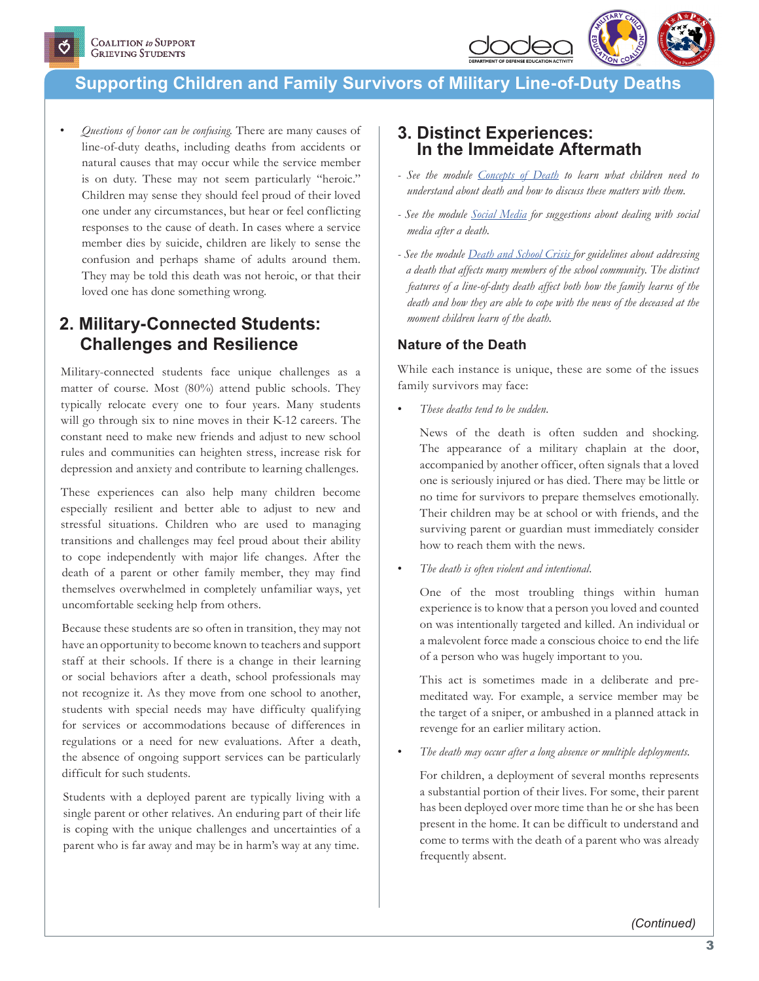

*• Questions of honor can be confusing.* There are many causes of line-of-duty deaths, including deaths from accidents or natural causes that may occur while the service member is on duty. These may not seem particularly "heroic." Children may sense they should feel proud of their loved one under any circumstances, but hear or feel conflicting responses to the cause of death. In cases where a service member dies by suicide, children are likely to sense the confusion and perhaps shame of adults around them. They may be told this death was not heroic, or that their loved one has done something wrong.

### **2. Military-Connected Students: Challenges and Resilience**

Military-connected students face unique challenges as a matter of course. Most (80%) attend public schools. They typically relocate every one to four years. Many students will go through six to nine moves in their K-12 careers. The constant need to make new friends and adjust to new school rules and communities can heighten stress, increase risk for depression and anxiety and contribute to learning challenges.

These experiences can also help many children become especially resilient and better able to adjust to new and stressful situations. Children who are used to managing transitions and challenges may feel proud about their ability to cope independently with major life changes. After the death of a parent or other family member, they may find themselves overwhelmed in completely unfamiliar ways, yet uncomfortable seeking help from others.

Because these students are so often in transition, they may not have an opportunity to become known to teachers and support staff at their schools. If there is a change in their learning or social behaviors after a death, school professionals may not recognize it. As they move from one school to another, students with special needs may have difficulty qualifying for services or accommodations because of differences in regulations or a need for new evaluations. After a death, the absence of ongoing support services can be particularly difficult for such students.

Students with a deployed parent are typically living with a single parent or other relatives. An enduring part of their life is coping with the unique challenges and uncertainties of a parent who is far away and may be in harm's way at any time.

### **3. Distinct Experiences: In the Immeidate Aftermath**

- *See the module [Concepts of Death](https://grievingstudents.org/module-section/concepts-of-death/) to learn what children need to understand about death and how to discuss these matters with them.*
- *See the module [Social Media](https://grievingstudents.org/module-section/social-media/) for suggestions about dealing with social media after a death.*
- *See the module [Death and School Crisis f](https://grievingstudents.org/module-section/death-school-crisis/)or guidelines about addressing a death that affects many members of the school community. The distinct features of a line-of-duty death affect both how the family learns of the death and how they are able to cope with the news of the deceased at the moment children learn of the death.*

### **Nature of the Death**

While each instance is unique, these are some of the issues family survivors may face:

• *These deaths tend to be sudden.* 

News of the death is often sudden and shocking. The appearance of a military chaplain at the door, accompanied by another officer, often signals that a loved one is seriously injured or has died. There may be little or no time for survivors to prepare themselves emotionally. Their children may be at school or with friends, and the surviving parent or guardian must immediately consider how to reach them with the news.

• *The death is often violent and intentional.* 

One of the most troubling things within human experience is to know that a person you loved and counted on was intentionally targeted and killed. An individual or a malevolent force made a conscious choice to end the life of a person who was hugely important to you.

This act is sometimes made in a deliberate and premeditated way. For example, a service member may be the target of a sniper, or ambushed in a planned attack in revenge for an earlier military action.

• *The death may occur after a long absence or multiple deployments.*

For children, a deployment of several months represents a substantial portion of their lives. For some, their parent has been deployed over more time than he or she has been present in the home. It can be difficult to understand and come to terms with the death of a parent who was already frequently absent.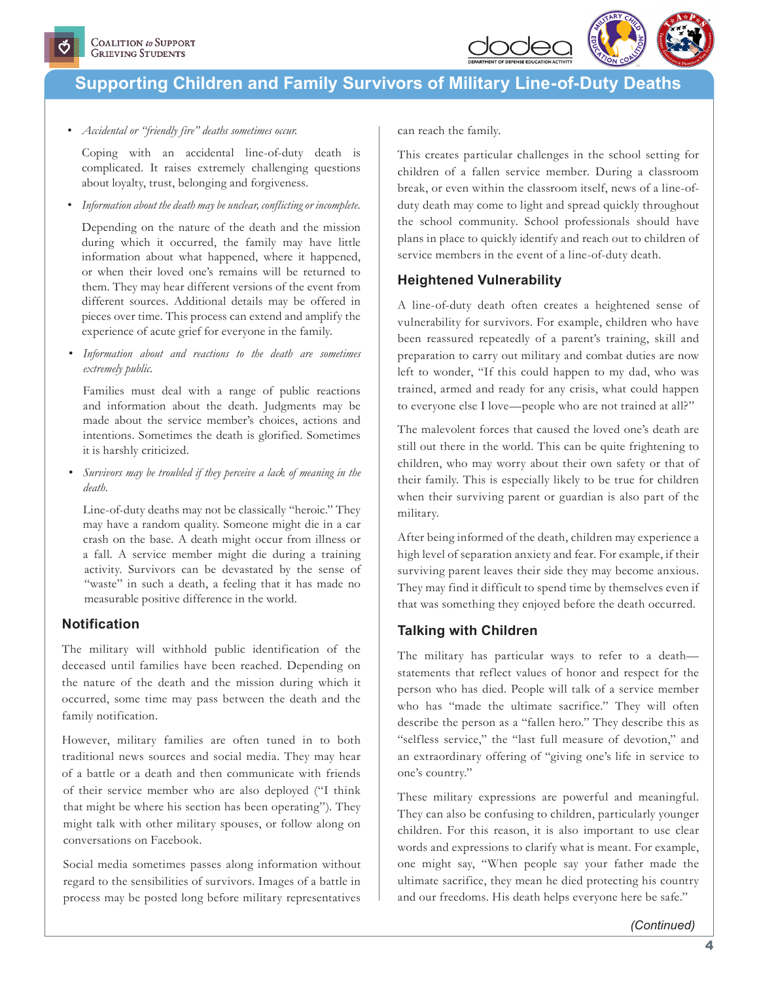

*• Accidental or "friendly fire" deaths sometimes occur.* 

Coping with an accidental line-of-duty death is complicated. It raises extremely challenging questions about loyalty, trust, belonging and forgiveness.

*• Information about the death may be unclear, conflicting or incomplete.*

Depending on the nature of the death and the mission during which it occurred, the family may have little information about what happened, where it happened, or when their loved one's remains will be returned to them. They may hear different versions of the event from different sources. Additional details may be offered in pieces over time. This process can extend and amplify the experience of acute grief for everyone in the family.

*• Information about and reactions to the death are sometimes extremely public.* 

Families must deal with a range of public reactions and information about the death. Judgments may be made about the service member's choices, actions and intentions. Sometimes the death is glorified. Sometimes it is harshly criticized.

*• Survivors may be troubled if they perceive a lack of meaning in the death.* 

Line-of-duty deaths may not be classically "heroic." They may have a random quality. Someone might die in a car crash on the base. A death might occur from illness or a fall. A service member might die during a training activity. Survivors can be devastated by the sense of "waste" in such a death, a feeling that it has made no measurable positive difference in the world.

### **Notification**

The military will withhold public identification of the deceased until families have been reached. Depending on the nature of the death and the mission during which it occurred, some time may pass between the death and the family notification.

However, military families are often tuned in to both traditional news sources and social media. They may hear of a battle or a death and then communicate with friends of their service member who are also deployed ("I think that might be where his section has been operating"). They might talk with other military spouses, or follow along on conversations on Facebook.

Social media sometimes passes along information without regard to the sensibilities of survivors. Images of a battle in process may be posted long before military representatives

can reach the family.

This creates particular challenges in the school setting for children of a fallen service member. During a classroom break, or even within the classroom itself, news of a line-ofduty death may come to light and spread quickly throughout the school community. School professionals should have plans in place to quickly identify and reach out to children of service members in the event of a line-of-duty death.

### **Heightened Vulnerability**

A line-of-duty death often creates a heightened sense of vulnerability for survivors. For example, children who have been reassured repeatedly of a parent's training, skill and preparation to carry out military and combat duties are now left to wonder, "If this could happen to my dad, who was trained, armed and ready for any crisis, what could happen to everyone else I love—people who are not trained at all?"

The malevolent forces that caused the loved one's death are still out there in the world. This can be quite frightening to children, who may worry about their own safety or that of their family. This is especially likely to be true for children when their surviving parent or guardian is also part of the military.

After being informed of the death, children may experience a high level of separation anxiety and fear. For example, if their surviving parent leaves their side they may become anxious. They may find it difficult to spend time by themselves even if that was something they enjoyed before the death occurred.

### **Talking with Children**

The military has particular ways to refer to a death statements that reflect values of honor and respect for the person who has died. People will talk of a service member who has "made the ultimate sacrifice." They will often describe the person as a "fallen hero." They describe this as "selfless service," the "last full measure of devotion," and an extraordinary offering of "giving one's life in service to one's country."

These military expressions are powerful and meaningful. They can also be confusing to children, particularly younger children. For this reason, it is also important to use clear words and expressions to clarify what is meant. For example, one might say, "When people say your father made the ultimate sacrifice, they mean he died protecting his country and our freedoms. His death helps everyone here be safe."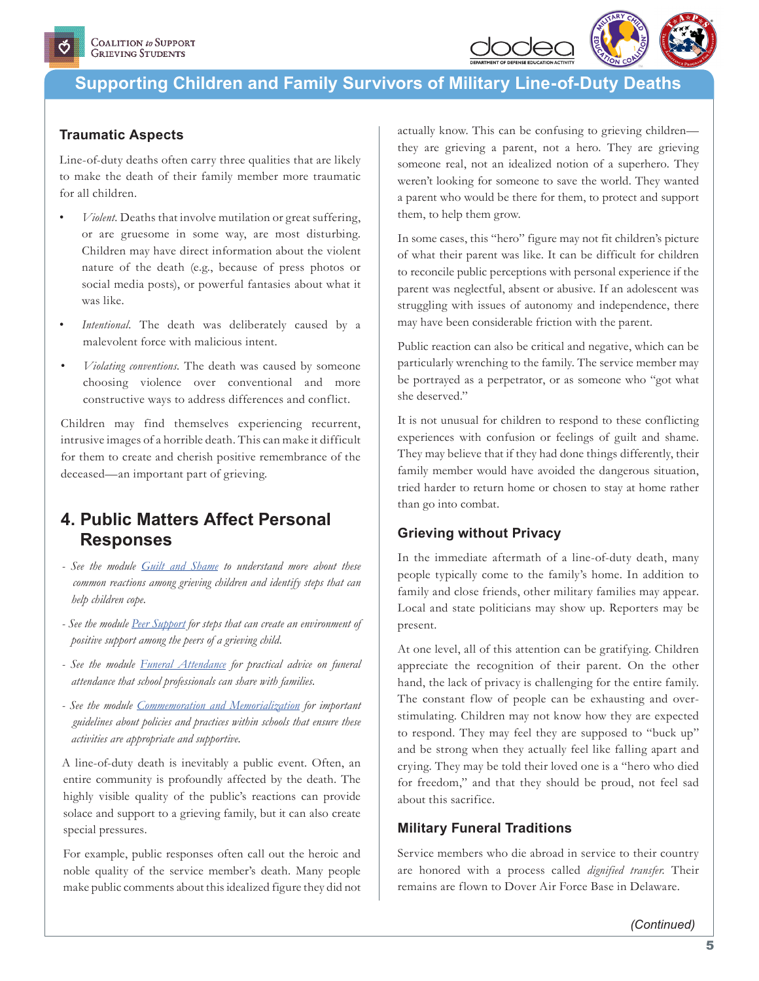

### **Traumatic Aspects**

Line-of-duty deaths often carry three qualities that are likely to make the death of their family member more traumatic for all children.

- *Violent.* Deaths that involve mutilation or great suffering, or are gruesome in some way, are most disturbing. Children may have direct information about the violent nature of the death (e.g., because of press photos or social media posts), or powerful fantasies about what it was like.
- Intentional. The death was deliberately caused by a malevolent force with malicious intent.
- *Violating conventions.* The death was caused by someone choosing violence over conventional and more constructive ways to address differences and conflict.

Children may find themselves experiencing recurrent, intrusive images of a horrible death. This can make it difficult for them to create and cherish positive remembrance of the deceased—an important part of grieving.

### **4. Public Matters Affect Personal Responses**

- *See the module [Guilt and Shame](https://grievingstudents.org/module-section/guilt-shame/) to understand more about these common reactions among grieving children and identify steps that can help children cope.*
- *See the module [Peer Support](https://grievingstudents.org/module-section/peer-support) for steps that can create an environment of positive support among the peers of a grieving child.*
- *See the module [Funeral Attendance](https://grievingstudents.org/module-section/funeral-attendance/) for practical advice on funeral attendance that school professionals can share with families.*
- *See the module [Commemoration and Memorialization](https://grievingstudents.org/module-section/commemoration-and-memorialization/) for important guidelines about policies and practices within schools that ensure these activities are appropriate and supportive.*

A line-of-duty death is inevitably a public event. Often, an entire community is profoundly affected by the death. The highly visible quality of the public's reactions can provide solace and support to a grieving family, but it can also create special pressures.

For example, public responses often call out the heroic and noble quality of the service member's death. Many people make public comments about this idealized figure they did not actually know. This can be confusing to grieving children they are grieving a parent, not a hero. They are grieving someone real, not an idealized notion of a superhero. They weren't looking for someone to save the world. They wanted a parent who would be there for them, to protect and support them, to help them grow.

In some cases, this "hero" figure may not fit children's picture of what their parent was like. It can be difficult for children to reconcile public perceptions with personal experience if the parent was neglectful, absent or abusive. If an adolescent was struggling with issues of autonomy and independence, there may have been considerable friction with the parent.

Public reaction can also be critical and negative, which can be particularly wrenching to the family. The service member may be portrayed as a perpetrator, or as someone who "got what she deserved."

It is not unusual for children to respond to these conflicting experiences with confusion or feelings of guilt and shame. They may believe that if they had done things differently, their family member would have avoided the dangerous situation, tried harder to return home or chosen to stay at home rather than go into combat.

#### **Grieving without Privacy**

In the immediate aftermath of a line-of-duty death, many people typically come to the family's home. In addition to family and close friends, other military families may appear. Local and state politicians may show up. Reporters may be present.

At one level, all of this attention can be gratifying. Children appreciate the recognition of their parent. On the other hand, the lack of privacy is challenging for the entire family. The constant flow of people can be exhausting and overstimulating. Children may not know how they are expected to respond. They may feel they are supposed to "buck up" and be strong when they actually feel like falling apart and crying. They may be told their loved one is a "hero who died for freedom," and that they should be proud, not feel sad about this sacrifice.

### **Military Funeral Traditions**

Service members who die abroad in service to their country are honored with a process called *dignified transfer.* Their remains are flown to Dover Air Force Base in Delaware.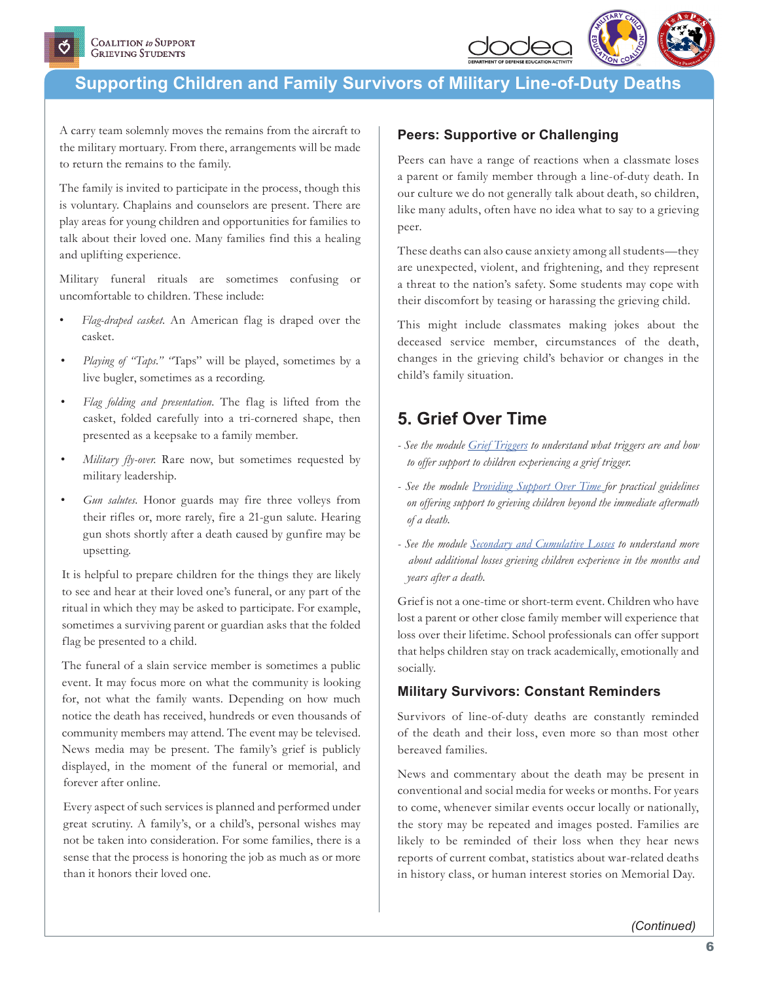

A carry team solemnly moves the remains from the aircraft to the military mortuary. From there, arrangements will be made to return the remains to the family.

The family is invited to participate in the process, though this is voluntary. Chaplains and counselors are present. There are play areas for young children and opportunities for families to talk about their loved one. Many families find this a healing and uplifting experience.

Military funeral rituals are sometimes confusing or uncomfortable to children. These include:

- *Flag-draped casket.* An American flag is draped over the casket.
- *Playing of "Taps." "*Taps" will be played, sometimes by a live bugler, sometimes as a recording.
- *Flag folding and presentation.* The flag is lifted from the casket, folded carefully into a tri-cornered shape, then presented as a keepsake to a family member.
- *Military fly-over.* Rare now, but sometimes requested by military leadership.
- Gun salutes. Honor guards may fire three volleys from their rifles or, more rarely, fire a 21-gun salute. Hearing gun shots shortly after a death caused by gunfire may be upsetting.

It is helpful to prepare children for the things they are likely to see and hear at their loved one's funeral, or any part of the ritual in which they may be asked to participate. For example, sometimes a surviving parent or guardian asks that the folded flag be presented to a child.

The funeral of a slain service member is sometimes a public event. It may focus more on what the community is looking for, not what the family wants. Depending on how much notice the death has received, hundreds or even thousands of community members may attend. The event may be televised. News media may be present. The family's grief is publicly displayed, in the moment of the funeral or memorial, and forever after online.

Every aspect of such services is planned and performed under great scrutiny. A family's, or a child's, personal wishes may not be taken into consideration. For some families, there is a sense that the process is honoring the job as much as or more than it honors their loved one.

### **Peers: Supportive or Challenging**

Peers can have a range of reactions when a classmate loses a parent or family member through a line-of-duty death. In our culture we do not generally talk about death, so children, like many adults, often have no idea what to say to a grieving peer.

These deaths can also cause anxiety among all students—they are unexpected, violent, and frightening, and they represent a threat to the nation's safety. Some students may cope with their discomfort by teasing or harassing the grieving child.

This might include classmates making jokes about the deceased service member, circumstances of the death, changes in the grieving child's behavior or changes in the child's family situation.

## **5. Grief Over Time**

- *See the module [Grief Triggers](https://grievingstudents.org/module-section/grief-triggers/) to understand what triggers are and how to offer support to children experiencing a grief trigger.*
- *See the module [Providing Support Over Time](https://grievingstudents.org/module-section/providing-support-over-time/) for practical guidelines on offering support to grieving children beyond the immediate aftermath of a death.*
- *See the module [Secondary and Cumulative Losses](https://grievingstudents.org/module-section/secondary-cumulative-losses/) to understand more about additional losses grieving children experience in the months and years after a death.*

Grief is not a one-time or short-term event. Children who have lost a parent or other close family member will experience that loss over their lifetime. School professionals can offer support that helps children stay on track academically, emotionally and socially.

### **Military Survivors: Constant Reminders**

Survivors of line-of-duty deaths are constantly reminded of the death and their loss, even more so than most other bereaved families.

News and commentary about the death may be present in conventional and social media for weeks or months. For years to come, whenever similar events occur locally or nationally, the story may be repeated and images posted. Families are likely to be reminded of their loss when they hear news reports of current combat, statistics about war-related deaths in history class, or human interest stories on Memorial Day.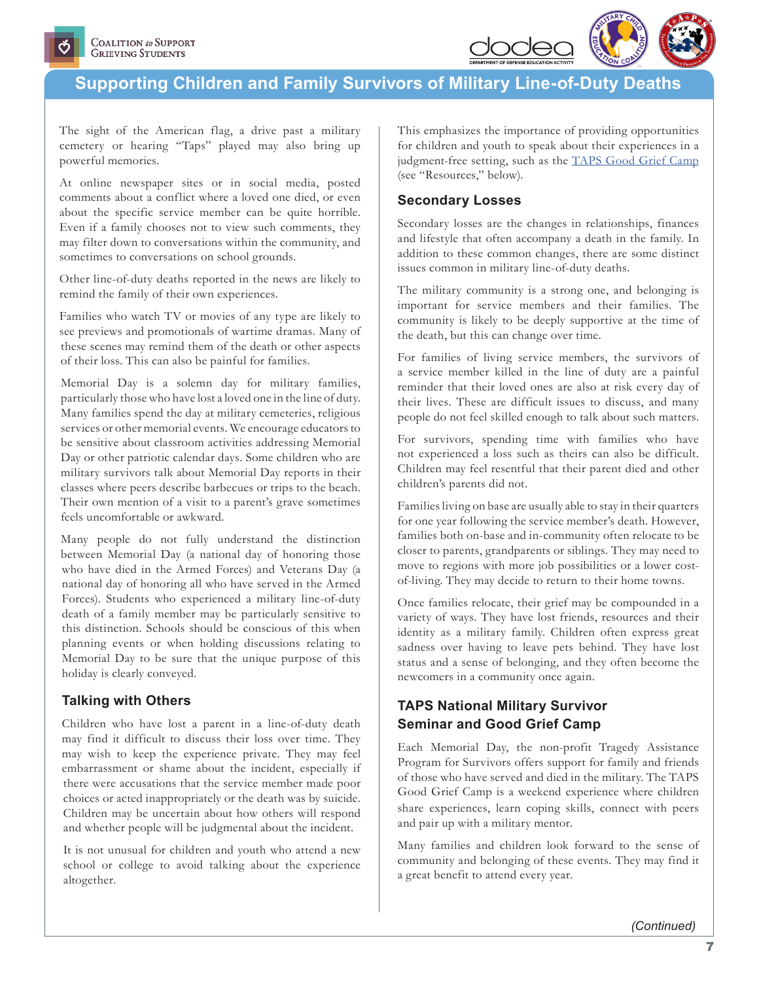

The sight of the American flag, a drive past a military cemetery or hearing "Taps" played may also bring up powerful memories.

At online newspaper sites or in social media, posted comments about a conflict where a loved one died, or even about the specific service member can be quite horrible. Even if a family chooses not to view such comments, they may filter down to conversations within the community, and sometimes to conversations on school grounds.

Other line-of-duty deaths reported in the news are likely to remind the family of their own experiences.

Families who watch TV or movies of any type are likely to see previews and promotionals of wartime dramas. Many of these scenes may remind them of the death or other aspects of their loss. This can also be painful for families.

Memorial Day is a solemn day for military families, particularly those who have lost a loved one in the line of duty. Many families spend the day at military cemeteries, religious services or other memorial events. We encourage educators to be sensitive about classroom activities addressing Memorial Day or other patriotic calendar days. Some children who are military survivors talk about Memorial Day reports in their classes where peers describe barbecues or trips to the beach. Their own mention of a visit to a parent's grave sometimes feels uncomfortable or awkward.

Many people do not fully understand the distinction between Memorial Day (a national day of honoring those who have died in the Armed Forces) and Veterans Day (a national day of honoring all who have served in the Armed Forces). Students who experienced a military line-of-duty death of a family member may be particularly sensitive to this distinction. Schools should be conscious of this when planning events or when holding discussions relating to Memorial Day to be sure that the unique purpose of this holiday is clearly conveyed.

### **Talking with Others**

Children who have lost a parent in a line-of-duty death may find it difficult to discuss their loss over time. They may wish to keep the experience private. They may feel embarrassment or shame about the incident, especially if there were accusations that the service member made poor choices or acted inappropriately or the death was by suicide. Children may be uncertain about how others will respond and whether people will be judgmental about the incident.

It is not unusual for children and youth who attend a new school or college to avoid talking about the experience altogether.

This emphasizes the importance of providing opportunities for children and youth to speak about their experiences in a judgment-free setting, such as the **[TAPS Good Grief Camp](http://www.taps.org/GoodGriefCamps/)** (see "Resources," below).

### **Secondary Losses**

Secondary losses are the changes in relationships, finances and lifestyle that often accompany a death in the family. In addition to these common changes, there are some distinct issues common in military line-of-duty deaths.

The military community is a strong one, and belonging is important for service members and their families. The community is likely to be deeply supportive at the time of the death, but this can change over time.

For families of living service members, the survivors of a service member killed in the line of duty are a painful reminder that their loved ones are also at risk every day of their lives. These are difficult issues to discuss, and many people do not feel skilled enough to talk about such matters.

For survivors, spending time with families who have not experienced a loss such as theirs can also be difficult. Children may feel resentful that their parent died and other children's parents did not.

Families living on base are usually able to stay in their quarters for one year following the service member's death. However, families both on-base and in-community often relocate to be closer to parents, grandparents or siblings. They may need to move to regions with more job possibilities or a lower costof-living. They may decide to return to their home towns.

Once families relocate, their grief may be compounded in a variety of ways. They have lost friends, resources and their identity as a military family. Children often express great sadness over having to leave pets behind. They have lost status and a sense of belonging, and they often become the newcomers in a community once again.

### **TAPS National Military Survivor Seminar and Good Grief Camp**

Each Memorial Day, the non-profit Tragedy Assistance Program for Survivors offers support for family and friends of those who have served and died in the military. The TAPS Good Grief Camp is a weekend experience where children share experiences, learn coping skills, connect with peers and pair up with a military mentor.

Many families and children look forward to the sense of community and belonging of these events. They may find it a great benefit to attend every year.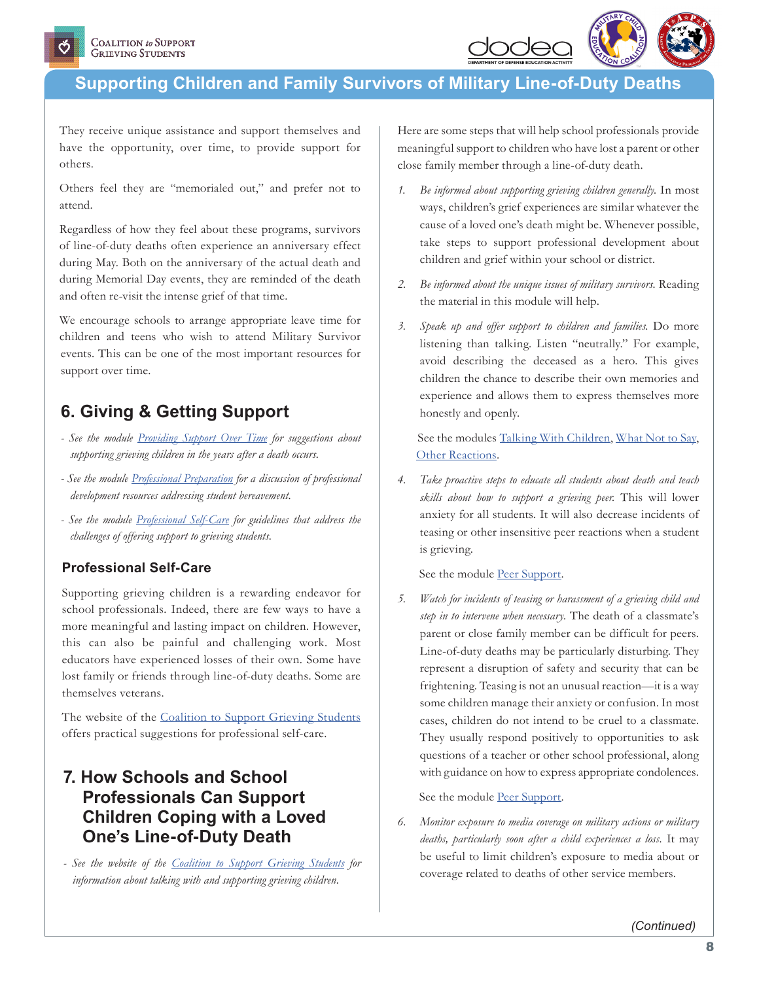

They receive unique assistance and support themselves and have the opportunity, over time, to provide support for others.

Others feel they are "memorialed out," and prefer not to attend.

Regardless of how they feel about these programs, survivors of line-of-duty deaths often experience an anniversary effect during May. Both on the anniversary of the actual death and during Memorial Day events, they are reminded of the death and often re-visit the intense grief of that time.

We encourage schools to arrange appropriate leave time for children and teens who wish to attend Military Survivor events. This can be one of the most important resources for support over time.

# **6. Giving & Getting Support**

- *See the module [Providing Support Over Time](https://grievingstudents.org/module-section/providing-support-over-time/) for suggestions about supporting grieving children in the years after a death occurs.*
- *See the module [Professional Preparation](https://grievingstudents.org/module-section/professional-preparation/) for a discussion of professional development resources addressing student bereavement.*
- *See the module [Professional Self-Care](https://grievingstudents.org/module-section/professional-self-care/) for guidelines that address the challenges of offering support to grieving students.*

### **Professional Self-Care**

Supporting grieving children is a rewarding endeavor for school professionals. Indeed, there are few ways to have a more meaningful and lasting impact on children. However, this can also be painful and challenging work. Most educators have experienced losses of their own. Some have lost family or friends through line-of-duty deaths. Some are themselves veterans.

The website of the [Coalition to Support Grieving Students](http://www.grievingstudents.org) offers practical suggestions for professional self-care.

## **7. How Schools and School Professionals Can Support Children Coping with a Loved One's Line-of-Duty Death**

*- See the website of the [Coalition to Support Grieving Students](http://www.grievingstudents.org) for information about talking with and supporting grieving children.*

Here are some steps that will help school professionals provide meaningful support to children who have lost a parent or other close family member through a line-of-duty death.

- *1. Be informed about supporting grieving children generally.* In most ways, children's grief experiences are similar whatever the cause of a loved one's death might be. Whenever possible, take steps to support professional development about children and grief within your school or district.
- *2. Be informed about the unique issues of military survivors.* Reading the material in this module will help.
- *3. Speak up and offer support to children and families.* Do more listening than talking. Listen "neutrally." For example, avoid describing the deceased as a hero. This gives children the chance to describe their own memories and experience and allows them to express themselves more honestly and openly.

 See the modules [Talking With Children,](https://grievingstudents.org/module-section/talking-with-children/) [What Not to Say,](https://grievingstudents.org/module-section/what-not-to-say/) [Other Reactions.](https://grievingstudents.org/module-section/other-reactions/)

*4. Take proactive steps to educate all students about death and teach skills about how to support a grieving peer.* This will lower anxiety for all students. It will also decrease incidents of teasing or other insensitive peer reactions when a student is grieving.

See the module [Peer Support.](https://grievingstudents.org/module-section/peer-support)

*5. Watch for incidents of teasing or harassment of a grieving child and step in to intervene when necessary.* The death of a classmate's parent or close family member can be difficult for peers. Line-of-duty deaths may be particularly disturbing. They represent a disruption of safety and security that can be frightening. Teasing is not an unusual reaction—it is a way some children manage their anxiety or confusion. In most cases, children do not intend to be cruel to a classmate. They usually respond positively to opportunities to ask questions of a teacher or other school professional, along with guidance on how to express appropriate condolences.

See the module [Peer Support.](https://grievingstudents.org/module-section/peer-support)

*6. Monitor exposure to media coverage on military actions or military deaths, particularly soon after a child experiences a loss.* It may be useful to limit children's exposure to media about or coverage related to deaths of other service members.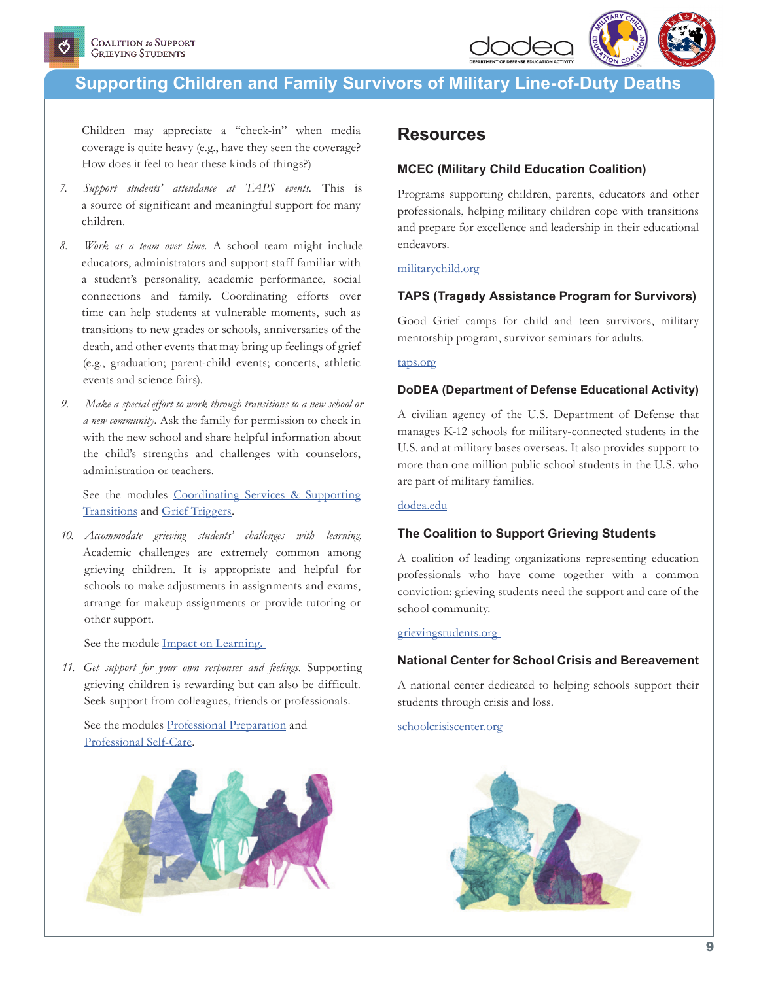

Children may appreciate a "check-in" when media coverage is quite heavy (e.g., have they seen the coverage? How does it feel to hear these kinds of things?)

- *7. Support students' attendance at TAPS events.* This is a source of significant and meaningful support for many children.
- *8. Work as a team over time.* A school team might include educators, administrators and support staff familiar with a student's personality, academic performance, social connections and family. Coordinating efforts over time can help students at vulnerable moments, such as transitions to new grades or schools, anniversaries of the death, and other events that may bring up feelings of grief (e.g., graduation; parent-child events; concerts, athletic events and science fairs).
- *9. Make a special effort to work through transitions to a new school or a new community.* Ask the family for permission to check in with the new school and share helpful information about the child's strengths and challenges with counselors, administration or teachers.

See the modules [Coordinating Services & Supporting](https://grievingstudents.org/module-section/coordinating-services-supporting-transitions/)  [Transitions](https://grievingstudents.org/module-section/coordinating-services-supporting-transitions/) and [Grief Triggers.](https://grievingstudents.org/module-section/grief-triggers/)

*10. Accommodate grieving students' challenges with learning.*  Academic challenges are extremely common among grieving children. It is appropriate and helpful for schools to make adjustments in assignments and exams, arrange for makeup assignments or provide tutoring or other support.

#### See the module **Impact on Learning**.

*11. Get support for your own responses and feelings.* Supporting grieving children is rewarding but can also be difficult. Seek support from colleagues, friends or professionals.

See the modules [Professional Preparation](https://grievingstudents.org/module-section/professional-preparation/) and [Professional Self-Care.](https://grievingstudents.org/module-section/professional-self-care/)



### **Resources**

#### **MCEC (Military Child Education Coalition)**

Programs supporting children, parents, educators and other professionals, helping military children cope with transitions and prepare for excellence and leadership in their educational endeavors.

#### [militarychild.org](http://www.militarychild.org)

#### **TAPS (Tragedy Assistance Program for Survivors)**

Good Grief camps for child and teen survivors, military mentorship program, survivor seminars for adults.

#### [taps.org](http://www.taps.org)

#### **DoDEA (Department of Defense Educational Activity)**

A civilian agency of the U.S. Department of Defense that manages K-12 schools for military-connected students in the U.S. and at military bases overseas. It also provides support to more than one million public school students in the U.S. who are part of military families.

#### [dodea.edu](http://www.dodea.edu)

#### **The Coalition to Support Grieving Students**

A coalition of leading organizations representing education professionals who have come together with a common conviction: grieving students need the support and care of the school community.

#### [grievingstudents.org](http://www.grievingstudents.org )

#### **National Center for School Crisis and Bereavement**

A national center dedicated to helping schools support their students through crisis and loss.

[schoolcrisiscenter.org](http://www.schoolcrisiscenter.org)